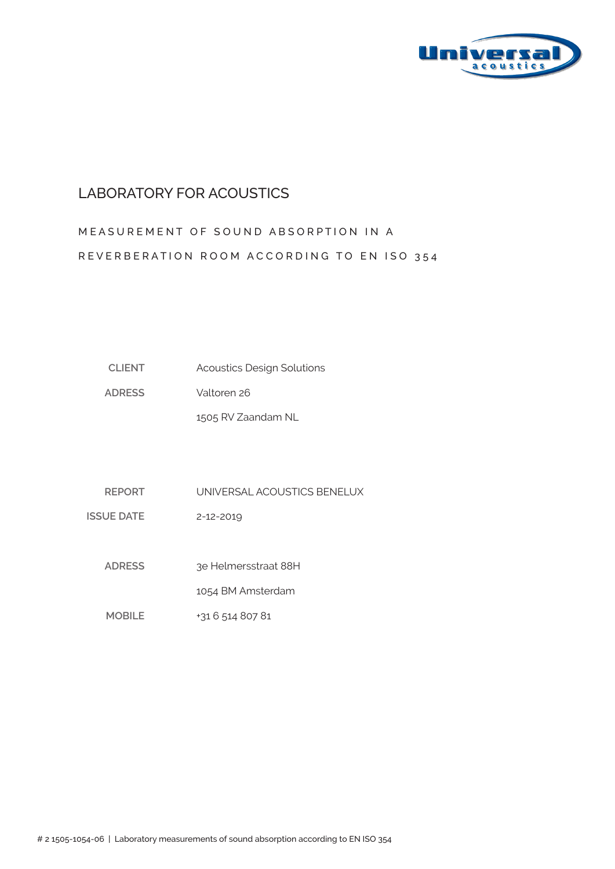

### LABORATORY FOR ACOUSTICS

# MEASUREMENT OF SOUND ABSORPTION IN A REVERBERATION ROOM ACCORDING TO EN ISO 354

| <b>CLIENT</b> | <b>Acoustics Design Solutions</b> |
|---------------|-----------------------------------|
|---------------|-----------------------------------|

**ADRESS** Valtoren 26

1505 RV Zaandam NL

**REPORT** UNIVERSAL ACOUSTICS BENELUX

**ISSUE DATE** 2-12-2019

> **ADRESS**  3e Helmersstraat 88H

> > 1054 BM Amsterdam

**MOBILE** +31 6 514 807 81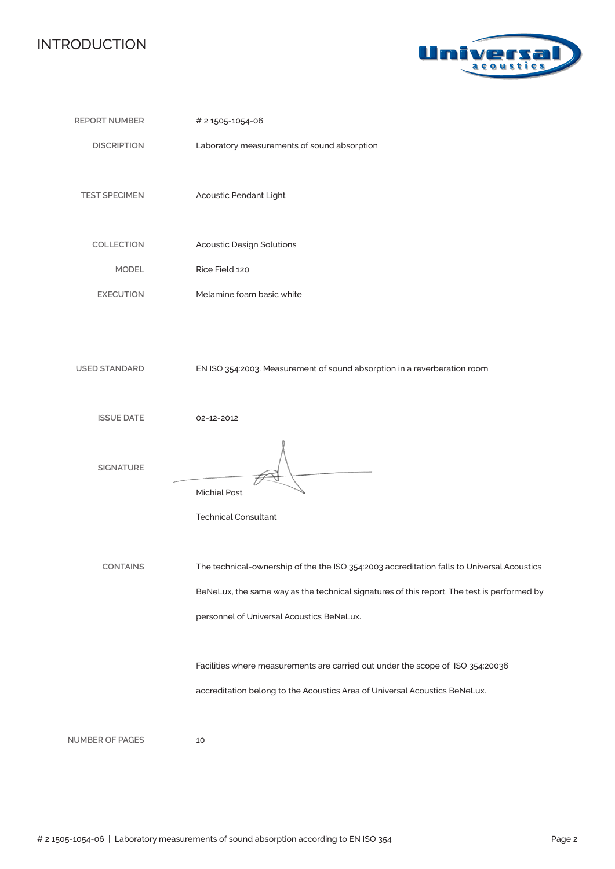### INTRODUCTION



| <b>REPORT NUMBER</b>   | # 2 1505-1054-06                                                                                                                                                                                                                      |
|------------------------|---------------------------------------------------------------------------------------------------------------------------------------------------------------------------------------------------------------------------------------|
| <b>DISCRIPTION</b>     | Laboratory measurements of sound absorption                                                                                                                                                                                           |
| <b>TEST SPECIMEN</b>   | Acoustic Pendant Light                                                                                                                                                                                                                |
| COLLECTION             | <b>Acoustic Design Solutions</b>                                                                                                                                                                                                      |
| <b>MODEL</b>           | Rice Field 120                                                                                                                                                                                                                        |
| <b>EXECUTION</b>       | Melamine foam basic white                                                                                                                                                                                                             |
| <b>USED STANDARD</b>   | EN ISO 354:2003. Measurement of sound absorption in a reverberation room                                                                                                                                                              |
|                        |                                                                                                                                                                                                                                       |
| <b>ISSUE DATE</b>      | 02-12-2012                                                                                                                                                                                                                            |
| <b>SIGNATURE</b>       | <b>Michiel Post</b><br><b>Technical Consultant</b>                                                                                                                                                                                    |
|                        |                                                                                                                                                                                                                                       |
| <b>CONTAINS</b>        | The technical-ownership of the the ISO 354:2003 accreditation falls to Universal Acoustics<br>BeNeLux, the same way as the technical signatures of this report. The test is performed by<br>personnel of Universal Acoustics BeNeLux. |
|                        | Facilities where measurements are carried out under the scope of ISO 354:20036<br>accreditation belong to the Acoustics Area of Universal Acoustics BeNeLux.                                                                          |
| <b>NUMBER OF PAGES</b> | 10                                                                                                                                                                                                                                    |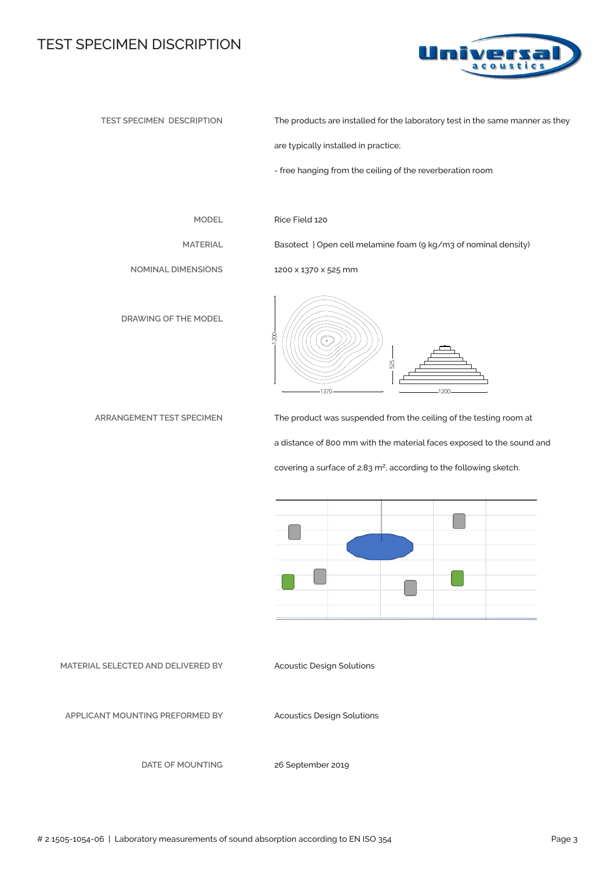#### TEST SPECIMEN DISCRIPTION



**TEST SPECIMEN DESCRIPTION**

The products are installed for the laboratory test in the same manner as they

are typically installed in practice;

- free hanging from the ceiling of the reverberation room

**MODEL**

**MATERIAL**

Rice Field 120

1200

1200 x 1370 x 525 mm

1370

Basotect | Open cell melamine foam (9 kg/m3 of nominal density)

525

**NOMINAL DIMENSIONS**

**DRAWING OF THE MODEL**



The product was suspended from the ceiling of the testing room at a distance of 800 mm with the material faces exposed to the sound and covering a surface of 2.83 m<sup>2</sup>, according to the following sketch.

1200



**MATERIAL SELECTED AND DELIVERED BY**

Acoustic Design Solutions

**APPLICANT MOUNTING PREFORMED BY** 

Acoustics Design Solutions

**DATE OF MOUNTING**

26 September 2019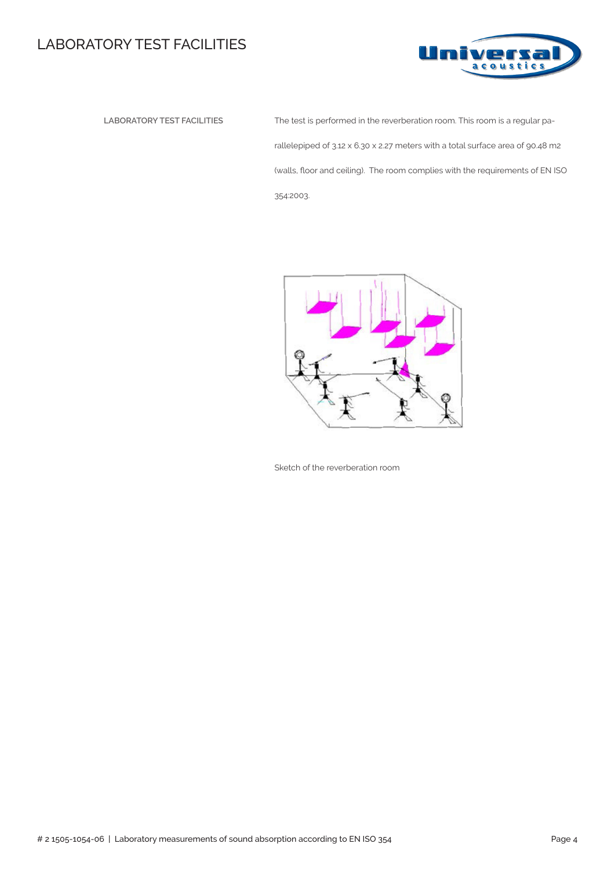## LABORATORY TEST FACILITIES



 **LABORATORY TEST FACILITIES** The test is performed in the reverberation room. This room is a regular parallelepiped of 3.12 x 6.30 x 2.27 meters with a total surface area of 90.48 m2 (walls, floor and ceiling). The room complies with the requirements of EN ISO 354:2003.



Sketch of the reverberation room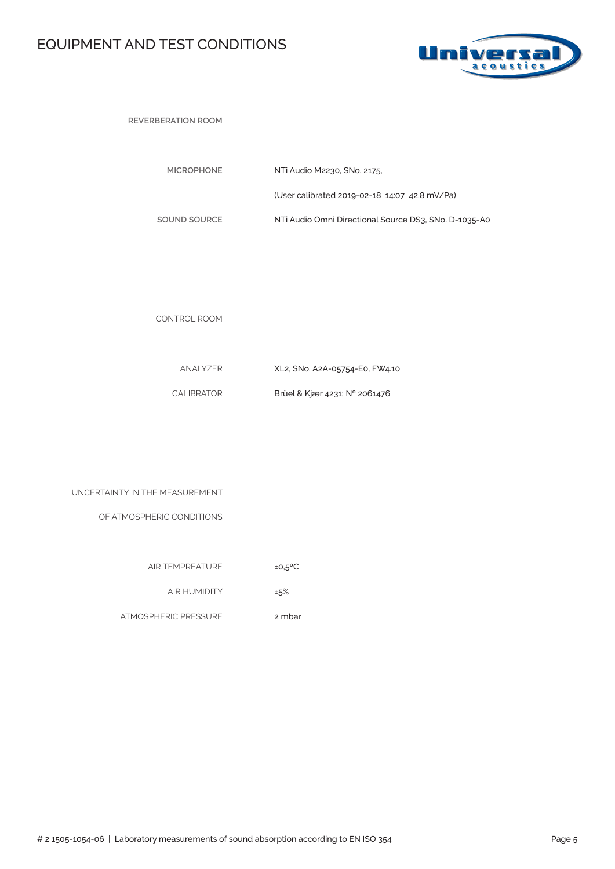## EQUIPMENT AND TEST CONDITIONS



**REVERBERATION ROOM** 

| <b>MICROPHONE</b> | NTi Audio M2230, SNo. 2175.                           |
|-------------------|-------------------------------------------------------|
|                   | (User calibrated 2019-02-18 14:07 42.8 mV/Pa)         |
| SOUND SOURCE      | NTi Audio Omni Directional Source DS3, SNo, D-1035-A0 |

CONTROL ROOM

| ANALYZER   | XL2, SNo. A2A-05754-E0, FW4.10 |
|------------|--------------------------------|
| CALIBRATOR | Brüel & Kjær 4231; N° 2061476  |

| UNCERTAINTY IN THE MEASUREMENT |  |  |  |  |
|--------------------------------|--|--|--|--|
|--------------------------------|--|--|--|--|

OF ATMOSPHERIC CONDITIONS

| <b>AIR TEMPREATURE</b> | $±0.5$ <sup>o</sup> C |
|------------------------|-----------------------|

AIR HUMIDITY ±5%

ATMOSPHERIC PRESSURE 2 mbar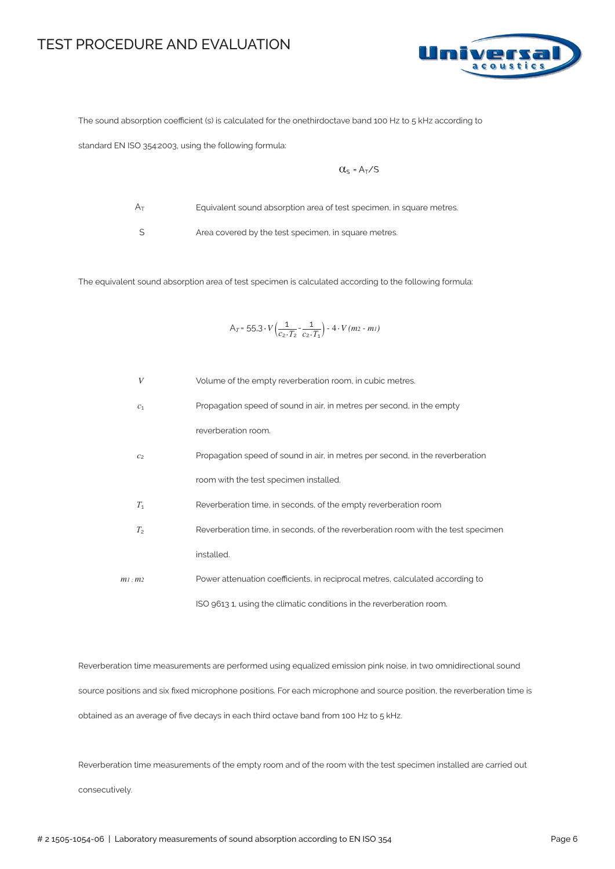#### TEST PROCEDURE AND EVALUATION



The sound absorption coefficient (s) is calculated for the onethirdoctave band 100 Hz to 5 kHz according to

standard EN ISO 354:2003, using the following formula:

$$
\alpha_{s} = A_{T}/s
$$

 $A_T$ 

Equivalent sound absorption area of test specimen, in square metres.

S

Area covered by the test specimen, in square metres.

The equivalent sound absorption area of test specimen is calculated according to the following formula:

$$
A_T = 55.3 \cdot V \left( \frac{1}{c_2 \cdot T_2} - \frac{1}{c_2 \cdot T_1} \right) - 4 \cdot V (m_2 - m_1)
$$

| $\boldsymbol{V}$ | Volume of the empty reverberation room, in cubic metres.                         |
|------------------|----------------------------------------------------------------------------------|
| c <sub>1</sub>   | Propagation speed of sound in air, in metres per second, in the empty            |
|                  | reverberation room.                                                              |
| C <sub>2</sub>   | Propagation speed of sound in air, in metres per second, in the reverberation    |
|                  | room with the test specimen installed.                                           |
| $T_1$            | Reverberation time, in seconds, of the empty reverberation room                  |
| T <sub>2</sub>   | Reverberation time, in seconds, of the reverberation room with the test specimen |
|                  | installed.                                                                       |
| $m1$ : $m2$      | Power attenuation coefficients, in reciprocal metres, calculated according to    |
|                  | ISO 9613 1, using the climatic conditions in the reverberation room.             |

Reverberation time measurements are performed using equalized emission pink noise, in two omnidirectional sound source positions and six fixed microphone positions. For each microphone and source position, the reverberation time is obtained as an average of five decays in each third octave band from 100 Hz to 5 kHz.

Reverberation time measurements of the empty room and of the room with the test specimen installed are carried out consecutively.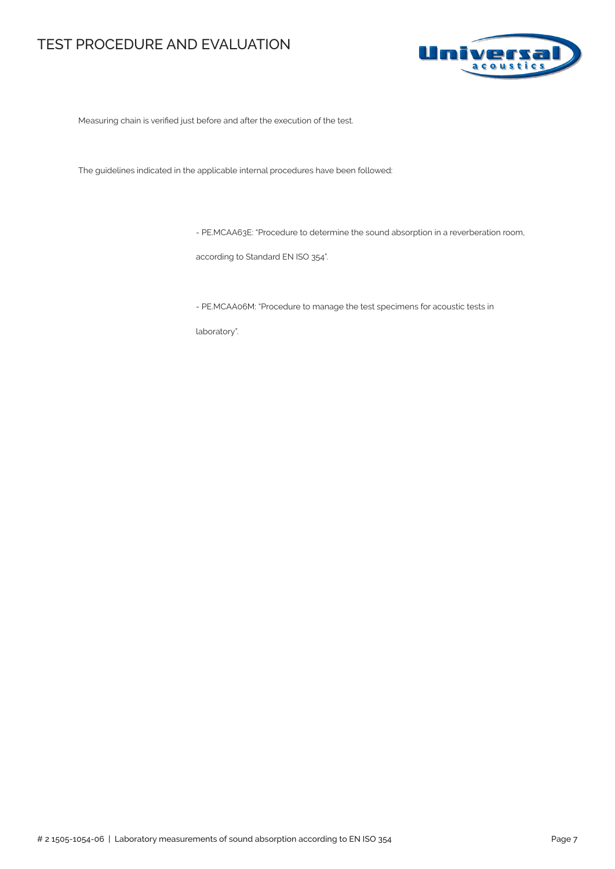### TEST PROCEDURE AND EVALUATION



Measuring chain is verified just before and after the execution of the test.

The guidelines indicated in the applicable internal procedures have been followed:

- PE.MCAA63E: "Procedure to determine the sound absorption in a reverberation room,

according to Standard EN ISO 354".

- PE.MCAA06M: "Procedure to manage the test specimens for acoustic tests in

laboratory".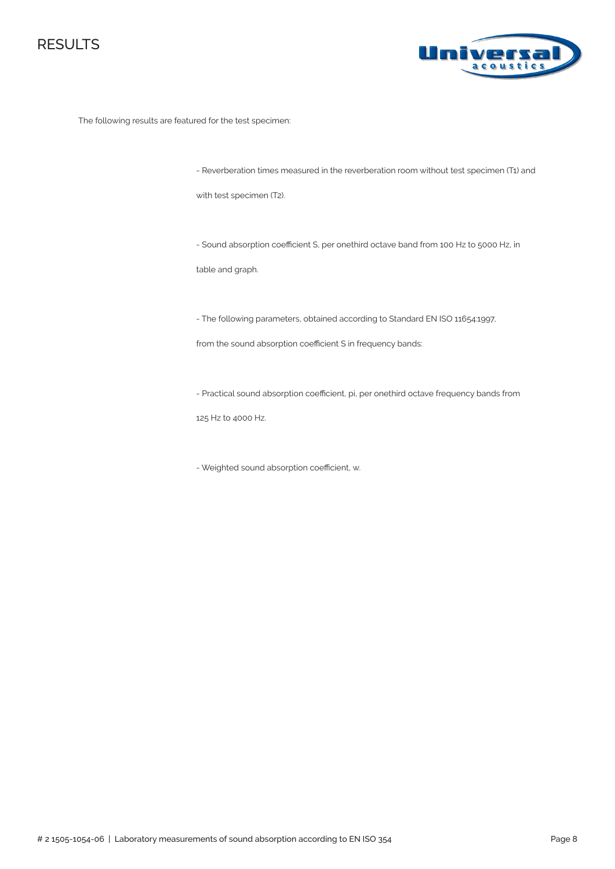



The following results are featured for the test specimen:

- Reverberation times measured in the reverberation room without test specimen (T1) and

with test specimen (T2).

- Sound absorption coefficient S, per onethird octave band from 100 Hz to 5000 Hz, in

table and graph.

- The following parameters, obtained according to Standard EN ISO 11654:1997,

from the sound absorption coefficient S in frequency bands:

- Practical sound absorption coefficient, pi, per onethird octave frequency bands from

125 Hz to 4000 Hz.

- Weighted sound absorption coefficient, αw.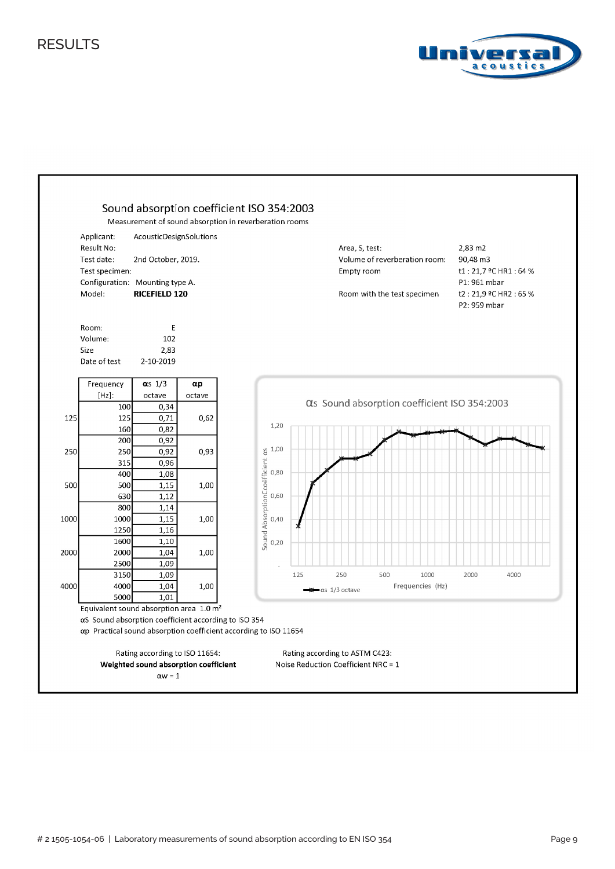